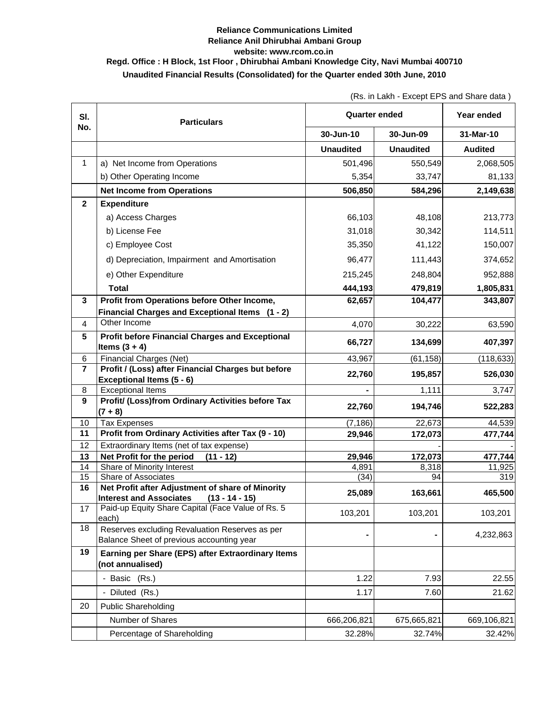## **Reliance Communications Limited Reliance Anil Dhirubhai Ambani Group website: www.rcom.co.in Regd. Office : H Block, 1st Floor , Dhirubhai Ambani Knowledge City, Navi Mumbai 400710 Unaudited Financial Results (Consolidated) for the Quarter ended 30th June, 2010**

(Rs. in Lakh - Except EPS and Share data )

| SI.                     | <b>Particulars</b>                                                                 | <b>Quarter ended</b> |                  | Year ended     |
|-------------------------|------------------------------------------------------------------------------------|----------------------|------------------|----------------|
| No.                     |                                                                                    | 30-Jun-10            | 30-Jun-09        | 31-Mar-10      |
|                         |                                                                                    | <b>Unaudited</b>     | <b>Unaudited</b> | <b>Audited</b> |
| $\mathbf{1}$            | a) Net Income from Operations                                                      | 501,496              | 550,549          | 2,068,505      |
|                         | b) Other Operating Income                                                          | 5,354                | 33,747           | 81,133         |
|                         | <b>Net Income from Operations</b>                                                  | 506,850              | 584,296          | 2,149,638      |
| $\overline{\mathbf{2}}$ | <b>Expenditure</b>                                                                 |                      |                  |                |
|                         | a) Access Charges                                                                  | 66,103               | 48,108           | 213,773        |
|                         | b) License Fee                                                                     | 31,018               | 30,342           | 114,511        |
|                         | c) Employee Cost                                                                   | 35,350               | 41,122           | 150,007        |
|                         | d) Depreciation, Impairment and Amortisation                                       | 96,477               | 111,443          | 374,652        |
|                         | e) Other Expenditure                                                               | 215,245              | 248,804          | 952,888        |
|                         | <b>Total</b>                                                                       | 444,193              | 479,819          | 1,805,831      |
| 3                       | Profit from Operations before Other Income,                                        | 62,657               | 104,477          | 343,807        |
|                         | Financial Charges and Exceptional Items (1 - 2)                                    |                      |                  |                |
| 4                       | Other Income                                                                       | 4,070                | 30,222           | 63,590         |
| 5                       | <b>Profit before Financial Charges and Exceptional</b>                             |                      |                  |                |
|                         | Items $(3 + 4)$                                                                    | 66,727               | 134,699          | 407,397        |
| 6                       | Financial Charges (Net)                                                            | 43,967               | (61, 158)        | (118, 633)     |
| $\overline{7}$          | Profit / (Loss) after Financial Charges but before                                 | 22,760               | 195,857          | 526,030        |
| 8                       | Exceptional Items (5 - 6)<br><b>Exceptional Items</b>                              |                      | 1,111            | 3,747          |
| 9                       | Profit/ (Loss)from Ordinary Activities before Tax                                  |                      |                  |                |
|                         | $(7 + 8)$                                                                          | 22,760               | 194,746          | 522,283        |
| 10                      | <b>Tax Expenses</b>                                                                | (7, 186)             | 22,673           | 44,539         |
| 11                      | Profit from Ordinary Activities after Tax (9 - 10)                                 | 29,946               | 172,073          | 477,744        |
| 12                      | Extraordinary Items (net of tax expense)                                           |                      |                  |                |
| 13                      | Net Profit for the period<br>$(11 - 12)$                                           | 29,946               | 172,073          | 477,744        |
| 14                      | Share of Minority Interest                                                         | 4,891                | 8,318            | 11,925         |
| 15                      | Share of Associates                                                                | (34)                 | 94               | 319            |
| 16                      | Net Profit after Adjustment of share of Minority<br><b>Interest and Associates</b> | 25,089               | 163,661          | 465,500        |
| 17                      | $(13 - 14 - 15)$<br>Paid-up Equity Share Capital (Face Value of Rs. 5              |                      |                  |                |
|                         | each)                                                                              | 103,201              | 103,201          | 103,201        |
| 18                      | Reserves excluding Revaluation Reserves as per                                     |                      |                  | 4,232,863      |
|                         | Balance Sheet of previous accounting year                                          |                      |                  |                |
| 19                      | Earning per Share (EPS) after Extraordinary Items<br>(not annualised)              |                      |                  |                |
|                         |                                                                                    |                      |                  |                |
|                         | - Basic (Rs.)                                                                      | 1.22                 | 7.93             | 22.55          |
|                         | - Diluted (Rs.)                                                                    | 1.17                 | 7.60             | 21.62          |
| 20                      | <b>Public Shareholding</b>                                                         |                      |                  |                |
|                         | Number of Shares                                                                   | 666,206,821          | 675,665,821      | 669,106,821    |
|                         | Percentage of Shareholding                                                         | 32.28%               | 32.74%           | 32.42%         |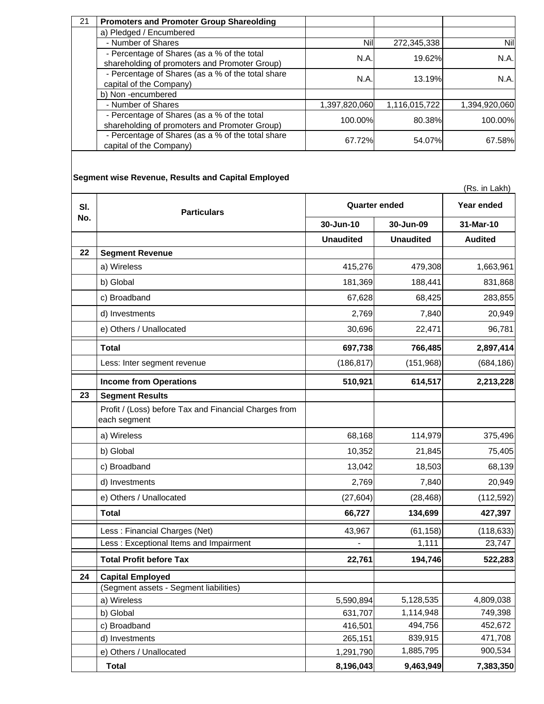| 21 | <b>Promoters and Promoter Group Shareolding</b>                                              |               |               |               |
|----|----------------------------------------------------------------------------------------------|---------------|---------------|---------------|
|    | a) Pledged / Encumbered                                                                      |               |               |               |
|    | - Number of Shares                                                                           | Nill          | 272,345,338   | Nil           |
|    | - Percentage of Shares (as a % of the total<br>shareholding of promoters and Promoter Group) | N.A.          | 19.62%        | N.A.          |
|    | - Percentage of Shares (as a % of the total share<br>capital of the Company)                 | <b>N.A.</b>   | 13.19%        | N.A.          |
|    | b) Non-encumbered                                                                            |               |               |               |
|    | - Number of Shares                                                                           | 1,397,820,060 | 1,116,015,722 | 1,394,920,060 |
|    | - Percentage of Shares (as a % of the total<br>shareholding of promoters and Promoter Group) | 100.00%       | 80.38%        | 100.00%       |
|    | - Percentage of Shares (as a % of the total share<br>capital of the Company)                 | 67.72%        | 54.07%        | 67.58%        |

## **Segment wise Revenue, Results and Capital Employed**

|     |                                                                       | (Rs. in Lakh)        |                  |                |
|-----|-----------------------------------------------------------------------|----------------------|------------------|----------------|
| SI. | <b>Particulars</b>                                                    | <b>Quarter ended</b> |                  | Year ended     |
| No. |                                                                       | 30-Jun-10            | 30-Jun-09        | 31-Mar-10      |
|     |                                                                       | <b>Unaudited</b>     | <b>Unaudited</b> | <b>Audited</b> |
| 22  | <b>Segment Revenue</b>                                                |                      |                  |                |
|     | a) Wireless                                                           | 415,276              | 479,308          | 1,663,961      |
|     | b) Global                                                             | 181,369              | 188,441          | 831,868        |
|     | c) Broadband                                                          | 67,628               | 68,425           | 283,855        |
|     | d) Investments                                                        | 2,769                | 7,840            | 20,949         |
|     | e) Others / Unallocated                                               | 30,696               | 22,471           | 96,781         |
|     | <b>Total</b>                                                          | 697,738              | 766,485          | 2,897,414      |
|     | Less: Inter segment revenue                                           | (186, 817)           | (151,968)        | (684, 186)     |
|     | <b>Income from Operations</b>                                         | 510,921              | 614,517          | 2,213,228      |
| 23  | <b>Segment Results</b>                                                |                      |                  |                |
|     | Profit / (Loss) before Tax and Financial Charges from<br>each segment |                      |                  |                |
|     | a) Wireless                                                           | 68,168               | 114,979          | 375,496        |
|     | b) Global                                                             | 10,352               | 21,845           | 75,405         |
|     | c) Broadband                                                          | 13,042               | 18,503           | 68,139         |
|     | d) Investments                                                        | 2,769                | 7,840            | 20,949         |
|     | e) Others / Unallocated                                               | (27, 604)            | (28, 468)        | (112, 592)     |
|     | <b>Total</b>                                                          | 66,727               | 134,699          | 427,397        |
|     | Less: Financial Charges (Net)                                         | 43,967               | (61, 158)        | (118, 633)     |
|     | Less: Exceptional Items and Impairment                                |                      | 1,111            | 23,747         |
|     | <b>Total Profit before Tax</b>                                        | 22,761               | 194,746          | 522,283        |
| 24  | <b>Capital Employed</b>                                               |                      |                  |                |
|     | (Segment assets - Segment liabilities)                                |                      |                  |                |
|     | a) Wireless                                                           | 5,590,894            | 5,128,535        | 4,809,038      |
|     | b) Global                                                             | 631,707              | 1,114,948        | 749,398        |
|     | c) Broadband                                                          | 416,501              | 494,756          | 452,672        |
|     | d) Investments                                                        | 265,151              | 839,915          | 471,708        |
|     | e) Others / Unallocated                                               | 1,291,790            | 1,885,795        | 900,534        |
|     | <b>Total</b>                                                          | 8,196,043            | 9,463,949        | 7,383,350      |